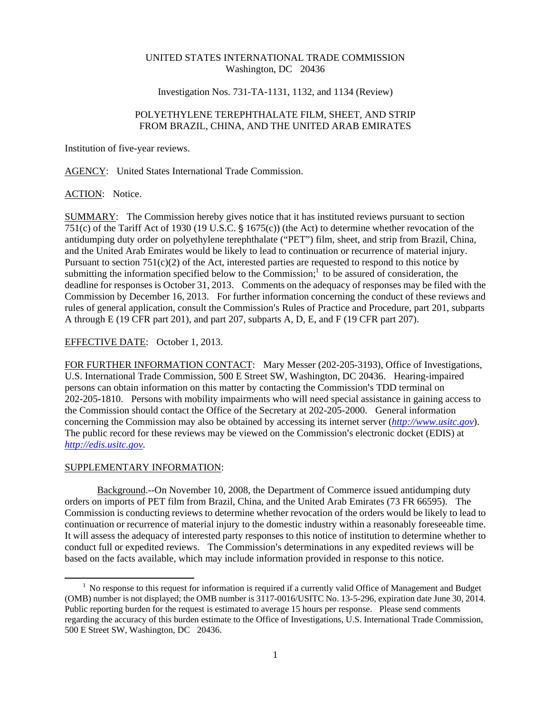## UNITED STATES INTERNATIONAL TRADE COMMISSION Washington, DC 20436

## Investigation Nos. 731-TA-1131, 1132, and 1134 (Review)

# POLYETHYLENE TEREPHTHALATE FILM, SHEET, AND STRIP FROM BRAZIL, CHINA, AND THE UNITED ARAB EMIRATES

Institution of five-year reviews.

AGENCY: United States International Trade Commission.

### ACTION: Notice.

SUMMARY: The Commission hereby gives notice that it has instituted reviews pursuant to section 751(c) of the Tariff Act of 1930 (19 U.S.C.  $\frac{6}{5}$  1675(c)) (the Act) to determine whether revocation of the antidumping duty order on polyethylene terephthalate ("PET") film, sheet, and strip from Brazil, China, and the United Arab Emirates would be likely to lead to continuation or recurrence of material injury. Pursuant to section 751(c)(2) of the Act, interested parties are requested to respond to this notice by submitting the information specified below to the Commission; $\frac{1}{1}$  to be assured of consideration, the deadline for responses is October 31, 2013. Comments on the adequacy of responses may be filed with the Commission by December 16, 2013. For further information concerning the conduct of these reviews and rules of general application, consult the Commission's Rules of Practice and Procedure, part 201, subparts A through E (19 CFR part 201), and part 207, subparts A, D, E, and F (19 CFR part 207).

## EFFECTIVE DATE: October 1, 2013.

FOR FURTHER INFORMATION CONTACT: Mary Messer (202-205-3193), Office of Investigations, U.S. International Trade Commission, 500 E Street SW, Washington, DC 20436. Hearing-impaired persons can obtain information on this matter by contacting the Commission's TDD terminal on 202-205-1810. Persons with mobility impairments who will need special assistance in gaining access to the Commission should contact the Office of the Secretary at 202-205-2000. General information concerning the Commission may also be obtained by accessing its internet server (*http://www.usitc.gov*). The public record for these reviews may be viewed on the Commission's electronic docket (EDIS) at *http://edis.usitc.gov*.

## SUPPLEMENTARY INFORMATION:

 $\overline{a}$ 

Background.--On November 10, 2008, the Department of Commerce issued antidumping duty orders on imports of PET film from Brazil, China, and the United Arab Emirates (73 FR 66595). The Commission is conducting reviews to determine whether revocation of the orders would be likely to lead to continuation or recurrence of material injury to the domestic industry within a reasonably foreseeable time. It will assess the adequacy of interested party responses to this notice of institution to determine whether to conduct full or expedited reviews. The Commission's determinations in any expedited reviews will be based on the facts available, which may include information provided in response to this notice.

<sup>&</sup>lt;sup>1</sup> No response to this request for information is required if a currently valid Office of Management and Budget (OMB) number is not displayed; the OMB number is 3117-0016/USITC No. 13-5-296, expiration date June 30, 2014. Public reporting burden for the request is estimated to average 15 hours per response. Please send comments regarding the accuracy of this burden estimate to the Office of Investigations, U.S. International Trade Commission, 500 E Street SW, Washington, DC 20436.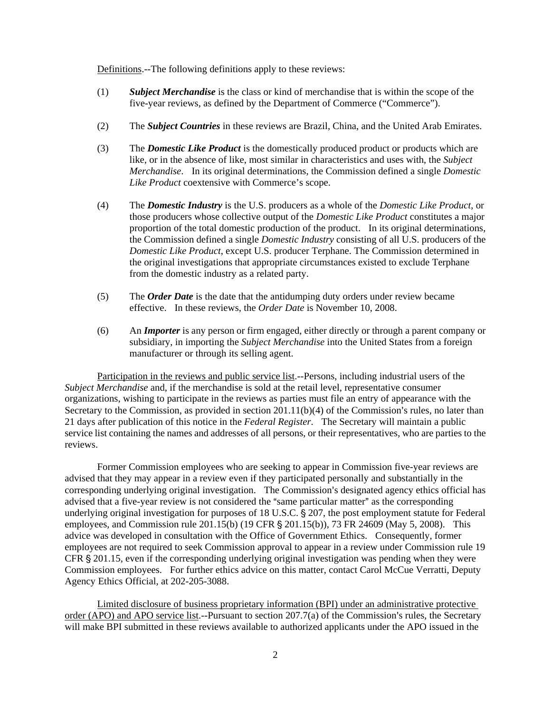Definitions.--The following definitions apply to these reviews:

- (1) *Subject Merchandise* is the class or kind of merchandise that is within the scope of the five-year reviews, as defined by the Department of Commerce ("Commerce").
- (2) The *Subject Countries* in these reviews are Brazil, China, and the United Arab Emirates.
- (3) The *Domestic Like Product* is the domestically produced product or products which are like, or in the absence of like, most similar in characteristics and uses with, the *Subject Merchandise*. In its original determinations, the Commission defined a single *Domestic Like Product* coextensive with Commerce's scope.
- (4) The *Domestic Industry* is the U.S. producers as a whole of the *Domestic Like Product*, or those producers whose collective output of the *Domestic Like Product* constitutes a major proportion of the total domestic production of the product. In its original determinations, the Commission defined a single *Domestic Industry* consisting of all U.S. producers of the *Domestic Like Product*, except U.S. producer Terphane. The Commission determined in the original investigations that appropriate circumstances existed to exclude Terphane from the domestic industry as a related party.
- (5) The *Order Date* is the date that the antidumping duty orders under review became effective. In these reviews, the *Order Date* is November 10, 2008.
- (6) An *Importer* is any person or firm engaged, either directly or through a parent company or subsidiary, in importing the *Subject Merchandise* into the United States from a foreign manufacturer or through its selling agent.

Participation in the reviews and public service list.--Persons, including industrial users of the *Subject Merchandise* and, if the merchandise is sold at the retail level, representative consumer organizations, wishing to participate in the reviews as parties must file an entry of appearance with the Secretary to the Commission, as provided in section  $201.11(b)(4)$  of the Commission's rules, no later than 21 days after publication of this notice in the *Federal Register*. The Secretary will maintain a public service list containing the names and addresses of all persons, or their representatives, who are parties to the reviews.

Former Commission employees who are seeking to appear in Commission five-year reviews are advised that they may appear in a review even if they participated personally and substantially in the corresponding underlying original investigation. The Commission's designated agency ethics official has advised that a five-year review is not considered the "same particular matter" as the corresponding underlying original investigation for purposes of 18 U.S.C. § 207, the post employment statute for Federal employees, and Commission rule  $201.15(b)$  (19 CFR § 201.15(b)), 73 FR 24609 (May 5, 2008). This advice was developed in consultation with the Office of Government Ethics. Consequently, former employees are not required to seek Commission approval to appear in a review under Commission rule 19 CFR  $\S 201.15$ , even if the corresponding underlying original investigation was pending when they were Commission employees. For further ethics advice on this matter, contact Carol McCue Verratti, Deputy Agency Ethics Official, at 202-205-3088.

Limited disclosure of business proprietary information (BPI) under an administrative protective order (APO) and APO service list.--Pursuant to section  $207.7(a)$  of the Commission's rules, the Secretary will make BPI submitted in these reviews available to authorized applicants under the APO issued in the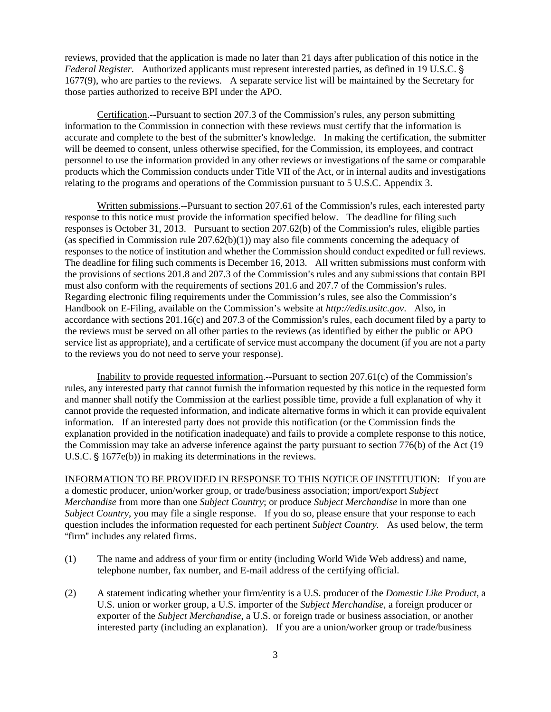reviews, provided that the application is made no later than 21 days after publication of this notice in the *Federal Register.* Authorized applicants must represent interested parties, as defined in 19 U.S.C. § 1677(9), who are parties to the reviews. A separate service list will be maintained by the Secretary for those parties authorized to receive BPI under the APO.

Certification.--Pursuant to section  $207.3$  of the Commission's rules, any person submitting information to the Commission in connection with these reviews must certify that the information is accurate and complete to the best of the submitter's knowledge. In making the certification, the submitter will be deemed to consent, unless otherwise specified, for the Commission, its employees, and contract personnel to use the information provided in any other reviews or investigations of the same or comparable products which the Commission conducts under Title VII of the Act, or in internal audits and investigations relating to the programs and operations of the Commission pursuant to 5 U.S.C. Appendix 3.

Written submissions.--Pursuant to section 207.61 of the Commission's rules, each interested party response to this notice must provide the information specified below. The deadline for filing such responses is October 31, 2013. Pursuant to section  $207.62(b)$  of the Commission's rules, eligible parties (as specified in Commission rule  $207.62(b)(1)$ ) may also file comments concerning the adequacy of responses to the notice of institution and whether the Commission should conduct expedited or full reviews. The deadline for filing such comments is December 16, 2013. All written submissions must conform with the provisions of sections 201.8 and 207.3 of the Commission's rules and any submissions that contain BPI must also conform with the requirements of sections 201.6 and 207.7 of the Commission's rules. Regarding electronic filing requirements under the Commission's rules, see also the Commission's Handbook on E-Filing, available on the Commission's website at *http://edis.usitc.gov*. Also, in accordance with sections  $201.16(c)$  and  $207.3$  of the Commission's rules, each document filed by a party to the reviews must be served on all other parties to the reviews (as identified by either the public or APO service list as appropriate), and a certificate of service must accompany the document (if you are not a party to the reviews you do not need to serve your response).

Inability to provide requested information.--Pursuant to section  $207.61(c)$  of the Commission's rules, any interested party that cannot furnish the information requested by this notice in the requested form and manner shall notify the Commission at the earliest possible time, provide a full explanation of why it cannot provide the requested information, and indicate alternative forms in which it can provide equivalent information. If an interested party does not provide this notification (or the Commission finds the explanation provided in the notification inadequate) and fails to provide a complete response to this notice, the Commission may take an adverse inference against the party pursuant to section 776(b) of the Act (19 U.S.C.  $\S$  1677e(b)) in making its determinations in the reviews.

INFORMATION TO BE PROVIDED IN RESPONSE TO THIS NOTICE OF INSTITUTION: If you are a domestic producer, union/worker group, or trade/business association; import/export *Subject Merchandise* from more than one *Subject Country*; or produce *Subject Merchandise* in more than one *Subject Country*, you may file a single response. If you do so, please ensure that your response to each question includes the information requested for each pertinent *Subject Country.* As used below, the term "firm" includes any related firms.

- (1) The name and address of your firm or entity (including World Wide Web address) and name, telephone number, fax number, and E-mail address of the certifying official.
- (2) A statement indicating whether your firm/entity is a U.S. producer of the *Domestic Like Product*, a U.S. union or worker group, a U.S. importer of the *Subject Merchandise*, a foreign producer or exporter of the *Subject Merchandise*, a U.S. or foreign trade or business association, or another interested party (including an explanation). If you are a union/worker group or trade/business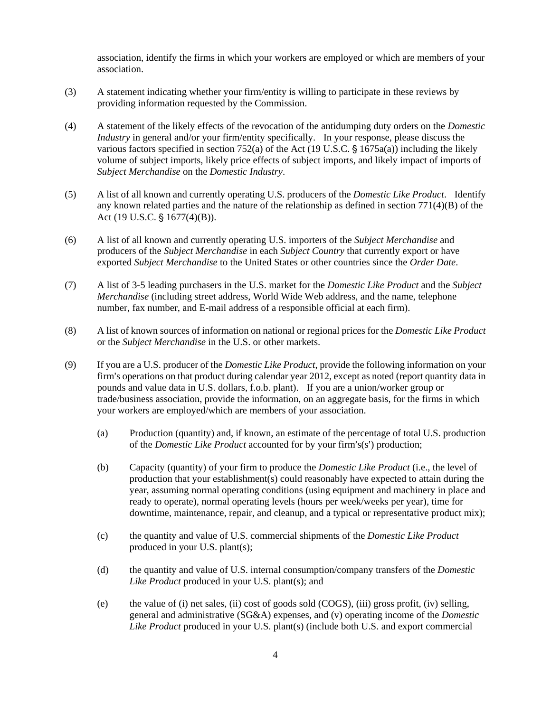association, identify the firms in which your workers are employed or which are members of your association.

- (3) A statement indicating whether your firm/entity is willing to participate in these reviews by providing information requested by the Commission.
- (4) A statement of the likely effects of the revocation of the antidumping duty orders on the *Domestic Industry* in general and/or your firm/entity specifically. In your response, please discuss the various factors specified in section 752(a) of the Act (19 U.S.C.  $\S$  1675a(a)) including the likely volume of subject imports, likely price effects of subject imports, and likely impact of imports of *Subject Merchandise* on the *Domestic Industry*.
- (5) A list of all known and currently operating U.S. producers of the *Domestic Like Product*. Identify any known related parties and the nature of the relationship as defined in section  $771(4)(B)$  of the Act (19 U.S.C.  $\S 1677(4)(B)$ ).
- (6) A list of all known and currently operating U.S. importers of the *Subject Merchandise* and producers of the *Subject Merchandise* in each *Subject Country* that currently export or have exported *Subject Merchandise* to the United States or other countries since the *Order Date*.
- (7) A list of 3-5 leading purchasers in the U.S. market for the *Domestic Like Product* and the *Subject Merchandise* (including street address, World Wide Web address, and the name, telephone number, fax number, and E-mail address of a responsible official at each firm).
- (8) A list of known sources of information on national or regional prices for the *Domestic Like Product* or the *Subject Merchandise* in the U.S. or other markets.
- (9) If you are a U.S. producer of the *Domestic Like Product*, provide the following information on your firm's operations on that product during calendar year 2012, except as noted (report quantity data in pounds and value data in U.S. dollars, f.o.b. plant). If you are a union/worker group or trade/business association, provide the information, on an aggregate basis, for the firms in which your workers are employed/which are members of your association.
	- (a) Production (quantity) and, if known, an estimate of the percentage of total U.S. production of the *Domestic Like Product* accounted for by your firm's(s') production;
	- (b) Capacity (quantity) of your firm to produce the *Domestic Like Product* (i.e., the level of production that your establishment(s) could reasonably have expected to attain during the year, assuming normal operating conditions (using equipment and machinery in place and ready to operate), normal operating levels (hours per week/weeks per year), time for downtime, maintenance, repair, and cleanup, and a typical or representative product mix);
	- (c) the quantity and value of U.S. commercial shipments of the *Domestic Like Product* produced in your U.S. plant(s);
	- (d) the quantity and value of U.S. internal consumption/company transfers of the *Domestic Like Product* produced in your U.S. plant(s); and
	- (e) the value of (i) net sales, (ii) cost of goods sold (COGS), (iii) gross profit, (iv) selling, general and administrative (SG&A) expenses, and (v) operating income of the *Domestic Like Product* produced in your U.S. plant(s) (include both U.S. and export commercial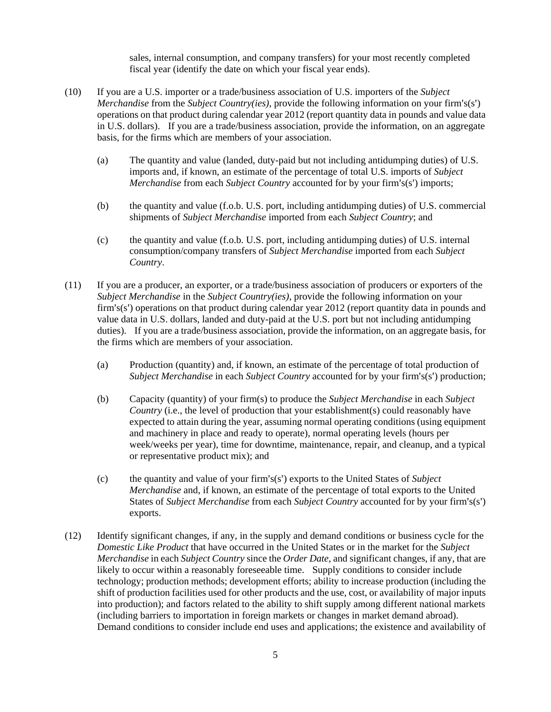sales, internal consumption, and company transfers) for your most recently completed fiscal year (identify the date on which your fiscal year ends).

- (10) If you are a U.S. importer or a trade/business association of U.S. importers of the *Subject Merchandise* from the *Subject Country(ies)*, provide the following information on your firm's(s') operations on that product during calendar year 2012 (report quantity data in pounds and value data in U.S. dollars). If you are a trade/business association, provide the information, on an aggregate basis, for the firms which are members of your association.
	- (a) The quantity and value (landed, duty-paid but not including antidumping duties) of U.S. imports and, if known, an estimate of the percentage of total U.S. imports of *Subject Merchandise* from each *Subject Country* accounted for by your firm's(s') imports;
	- (b) the quantity and value (f.o.b. U.S. port, including antidumping duties) of U.S. commercial shipments of *Subject Merchandise* imported from each *Subject Country*; and
	- (c) the quantity and value (f.o.b. U.S. port, including antidumping duties) of U.S. internal consumption/company transfers of *Subject Merchandise* imported from each *Subject Country*.
- (11) If you are a producer, an exporter, or a trade/business association of producers or exporters of the *Subject Merchandise* in the *Subject Country(ies)*, provide the following information on your firm's(s') operations on that product during calendar year 2012 (report quantity data in pounds and value data in U.S. dollars, landed and duty-paid at the U.S. port but not including antidumping duties). If you are a trade/business association, provide the information, on an aggregate basis, for the firms which are members of your association.
	- (a) Production (quantity) and, if known, an estimate of the percentage of total production of *Subject Merchandise* in each *Subject Country* accounted for by your firm's(s') production;
	- (b) Capacity (quantity) of your firm(s) to produce the *Subject Merchandise* in each *Subject Country* (i.e., the level of production that your establishment(s) could reasonably have expected to attain during the year, assuming normal operating conditions (using equipment and machinery in place and ready to operate), normal operating levels (hours per week/weeks per year), time for downtime, maintenance, repair, and cleanup, and a typical or representative product mix); and
	- (c) the quantity and value of your firm's(s') exports to the United States of *Subject Merchandise* and, if known, an estimate of the percentage of total exports to the United States of *Subject Merchandise* from each *Subject Country* accounted for by your firm's(s') exports.
- (12) Identify significant changes, if any, in the supply and demand conditions or business cycle for the *Domestic Like Product* that have occurred in the United States or in the market for the *Subject Merchandise* in each *Subject Country* since the *Order Date*, and significant changes, if any, that are likely to occur within a reasonably foreseeable time. Supply conditions to consider include technology; production methods; development efforts; ability to increase production (including the shift of production facilities used for other products and the use, cost, or availability of major inputs into production); and factors related to the ability to shift supply among different national markets (including barriers to importation in foreign markets or changes in market demand abroad). Demand conditions to consider include end uses and applications; the existence and availability of